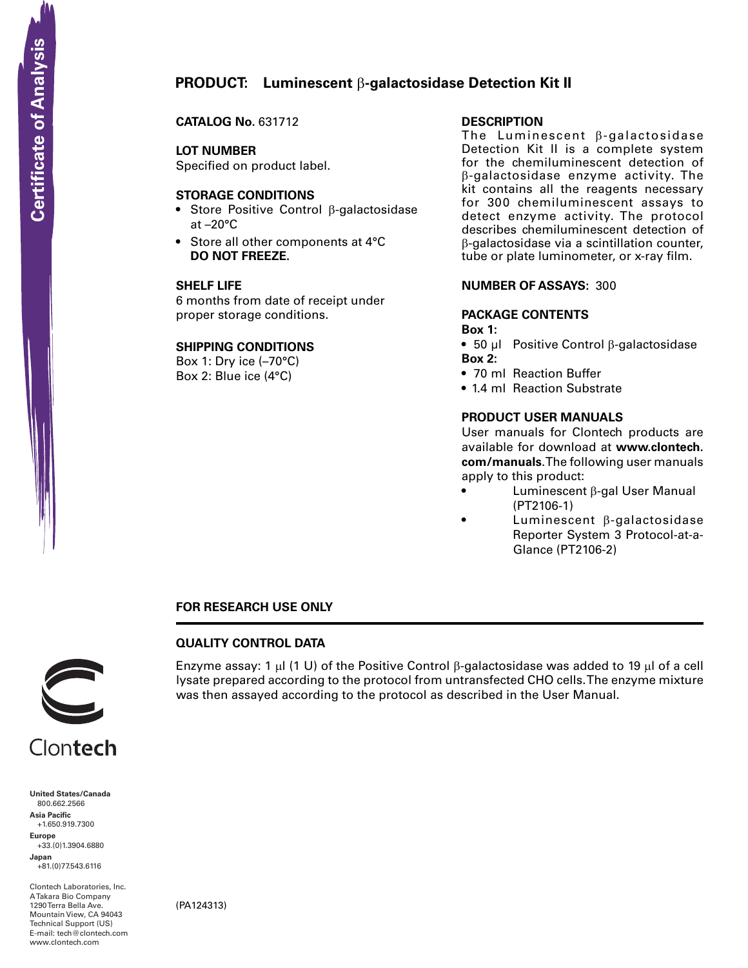## **PRODUCT: Luminescent** β**-galactosidase Detection Kit II**

**CATALOG No.** 631712

### **LOT NUMBER**

Specified on product label.

## **STORAGE CONDITIONS**

- Store Positive Control β-galactosidase at –20°C
- Store all other components at 4°C **DO NOT FREEZE.**

### **SHELF LIFE**

6 months from date of receipt under proper storage conditions.

#### **SHIPPING CONDITIONS**

Box 1: Dry ice (–70°C) Box 2: Blue ice (4°C)

### **description**

The Luminescent β-galactosidase Detection Kit II is a complete system for the chemiluminescent detection of β-galactosidase enzyme activity. The kit contains all the reagents necessary for 300 chemiluminescent assays to detect enzyme activity. The protocol describes chemiluminescent detection of β-galactosidase via a scintillation counter, tube or plate luminometer, or x-ray film.

## **Number of assays:** 300

## **package contents**

**Box 1:**

Enzyme assay: 1 μl (1 U) of the Positive Control β-galactosidase was added to 19 μl of a cell lysate prepared according to the protocol from untransfected CHO cells. The enzyme mixture

was then assayed according to the protocol as described in the User Manual.

- 50 µl Positive Control β-galactosidase **Box 2:**
- 70 ml Reaction Buffer
- 1.4 ml Reaction Substrate

## **product user manuals**

User manuals for Clontech products are available for download at **www.clontech. com/manuals**. The following user manuals apply to this product:

- Luminescent β-gal User Manual (PT2106-1)
	- Luminescent β-galactosidase Reporter System 3 Protocol-at-a-Glance (PT2106-2)

## **FOR RESEARCH USE ONLY**

## **QUALITY CONTROL DATA**

**Solution Control Control Control Control Control Control Control Control Control Control Control Control Control Control Control Control Control Control Control Control Control Control Control Control Control Control Cont** Clontech

**United States/Canada** 800.662.2566 **Asia Pacific** +1.650.919.7300 **Europe** +33.(0)1.3904.6880 **Japan** +81.(0)77.543.6116

Clontech Laboratories, Inc. A Takara Bio Company 1290 Terra Bella Ave. Mountain View, CA 94043 Technical Support (US) E-mail: tech@clontech.com<br>www.clontech.com

(PA124313)